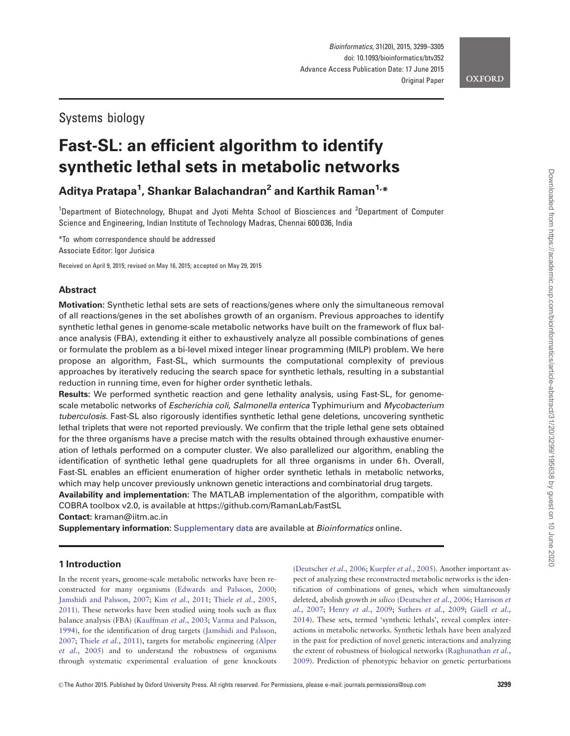# Systems biology

# Fast-SL: an efficient algorithm to identify synthetic lethal sets in metabolic networks

Aditya Pratapa<sup>1</sup>, Shankar Balachandran<sup>2</sup> and Karthik Raman<sup>1,</sup>\*

<sup>1</sup>Department of Biotechnology, Bhupat and Jyoti Mehta School of Biosciences and <sup>2</sup>Department of Computer Science and Engineering, Indian Institute of Technology Madras, Chennai 600 036, India

\*To whom correspondence should be addressed Associate Editor: Igor Jurisica

Received on April 9, 2015; revised on May 16, 2015; accepted on May 29, 2015

# Abstract

Motivation: Synthetic lethal sets are sets of reactions/genes where only the simultaneous removal of all reactions/genes in the set abolishes growth of an organism. Previous approaches to identify synthetic lethal genes in genome-scale metabolic networks have built on the framework of flux balance analysis (FBA), extending it either to exhaustively analyze all possible combinations of genes or formulate the problem as a bi-level mixed integer linear programming (MILP) problem. We here propose an algorithm, Fast-SL, which surmounts the computational complexity of previous approaches by iteratively reducing the search space for synthetic lethals, resulting in a substantial reduction in running time, even for higher order synthetic lethals.

Results: We performed synthetic reaction and gene lethality analysis, using Fast-SL, for genomescale metabolic networks of Escherichia coli, Salmonella enterica Typhimurium and Mycobacterium tuberculosis. Fast-SL also rigorously identifies synthetic lethal gene deletions, uncovering synthetic lethal triplets that were not reported previously. We confirm that the triple lethal gene sets obtained for the three organisms have a precise match with the results obtained through exhaustive enumeration of lethals performed on a computer cluster. We also parallelized our algorithm, enabling the identification of synthetic lethal gene quadruplets for all three organisms in under 6 h. Overall, Fast-SL enables an efficient enumeration of higher order synthetic lethals in metabolic networks, which may help uncover previously unknown genetic interactions and combinatorial drug targets.

Availability and implementation: The MATLAB implementation of the algorithm, compatible with COBRA toolbox v2.0, is available at<https://github.com/RamanLab/FastSL>

Contact: kraman@iitm.ac.in

Supplementary information: [Supplementary data](http://bioinformatics.oxfordjournals.org/lookup/suppl/doi:10.1093/bioinformatics/btv352/-/DC1) are available at Bioinformatics online.

# 1 Introduction

In the recent years, genome-scale metabolic networks have been reconstructed for many organisms ([Edwards and Palsson, 2000;](#page-5-0) [Jamshidi and Palsson, 2007;](#page-6-0) Kim et al.[, 2011](#page-6-0); Thiele et al.[, 2005,](#page-6-0) [2011\)](#page-6-0). These networks have been studied using tools such as flux balance analysis (FBA) ([Kauffman](#page-6-0) et al., 2003; [Varma and Palsson,](#page-6-0) [1994\)](#page-6-0), for the identification of drug targets ([Jamshidi and Palsson,](#page-6-0) [2007;](#page-6-0) Thiele et al.[, 2011](#page-6-0)), targets for metabolic engineering [\(Alper](#page-5-0) et al.[, 2005\)](#page-5-0) and to understand the robustness of organisms through systematic experimental evaluation of gene knockouts ([Deutscher](#page-5-0) et al., 2006; [Kuepfer](#page-6-0) et al., 2005). Another important aspect of analyzing these reconstructed metabolic networks is the identification of combinations of genes, which when simultaneously deleted, abolish growth in silico ([Deutscher](#page-5-0) et al., 2006; [Harrison](#page-5-0) et al.[, 2007](#page-5-0); Henry et al.[, 2009;](#page-5-0) [Suthers](#page-6-0) [et al.](#page-5-0), 2009; Güell et al., [2014\)](#page-5-0). These sets, termed 'synthetic lethals', reveal complex interactions in metabolic networks. Synthetic lethals have been analyzed in the past for prediction of novel genetic interactions and analyzing the extent of robustness of biological networks [\(Raghunathan](#page-6-0) et al., [2009\)](#page-6-0). Prediction of phenotypic behavior on genetic perturbations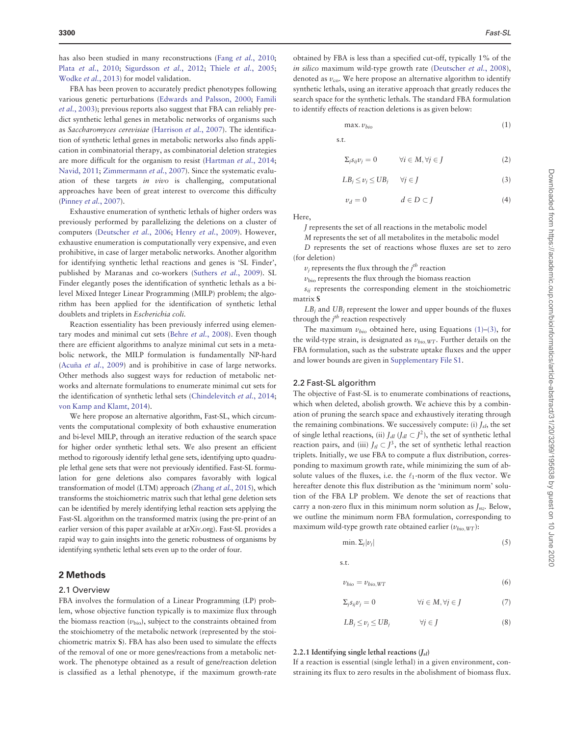<span id="page-1-0"></span>has also been studied in many reconstructions (Fang et al.[, 2010;](#page-5-0) Plata et al.[, 2010](#page-6-0); [Sigurdsson](#page-6-0) et al., 2012; Thiele et al.[, 2005;](#page-6-0) [Wodke](#page-6-0) et al., 2013) for model validation.

FBA has been proven to accurately predict phenotypes following various genetic perturbations [\(Edwards and Palsson, 2000;](#page-5-0) [Famili](#page-5-0) et al.[, 2003\)](#page-5-0); previous reports also suggest that FBA can reliably predict synthetic lethal genes in metabolic networks of organisms such as Saccharomyces cerevisiae ([Harrison](#page-5-0) et al., 2007). The identification of synthetic lethal genes in metabolic networks also finds application in combinatorial therapy, as combinatorial deletion strategies are more difficult for the organism to resist ([Hartman](#page-5-0) et al., 2014; [Navid, 2011](#page-6-0); [Zimmermann](#page-6-0) et al., 2007). Since the systematic evaluation of these targets in vivo is challenging, computational approaches have been of great interest to overcome this difficulty ([Pinney](#page-6-0) et al., 2007).

Exhaustive enumeration of synthetic lethals of higher orders was previously performed by parallelizing the deletions on a cluster of computers ([Deutscher](#page-5-0) et al., 2006; Henry et al.[, 2009](#page-5-0)). However, exhaustive enumeration is computationally very expensive, and even prohibitive, in case of larger metabolic networks. Another algorithm for identifying synthetic lethal reactions and genes is 'SL Finder', published by Maranas and co-workers [\(Suthers](#page-6-0) et al., 2009). SL Finder elegantly poses the identification of synthetic lethals as a bilevel Mixed Integer Linear Programming (MILP) problem; the algorithm has been applied for the identification of synthetic lethal doublets and triplets in Escherichia coli.

Reaction essentiality has been previously inferred using elemen-tary modes and minimal cut sets (Behre et al.[, 2008](#page-5-0)). Even though there are efficient algorithms to analyze minimal cut sets in a metabolic network, the MILP formulation is fundamentally NP-hard (Acuña et al.[, 2009\)](#page-5-0) and is prohibitive in case of large networks. Other methods also suggest ways for reduction of metabolic networks and alternate formulations to enumerate minimal cut sets for the identification of synthetic lethal sets ([Chindelevitch](#page-5-0) et al., 2014; [von Kamp and Klamt, 2014\)](#page-6-0).

We here propose an alternative algorithm, Fast-SL, which circumvents the computational complexity of both exhaustive enumeration and bi-level MILP, through an iterative reduction of the search space for higher order synthetic lethal sets. We also present an efficient method to rigorously identify lethal gene sets, identifying upto quadruple lethal gene sets that were not previously identified. Fast-SL formulation for gene deletions also compares favorably with logical transformation of model (LTM) approach [\(Zhang](#page-6-0) et al., 2015), which transforms the stoichiometric matrix such that lethal gene deletion sets can be identified by merely identifying lethal reaction sets applying the Fast-SL algorithm on the transformed matrix (using the pre-print of an earlier version of this paper available at arXiv.org). Fast-SL provides a rapid way to gain insights into the genetic robustness of organisms by identifying synthetic lethal sets even up to the order of four.

# 2 Methods

#### 2.1 Overview

FBA involves the formulation of a Linear Programming (LP) problem, whose objective function typically is to maximize flux through the biomass reaction  $(v_{bio})$ , subject to the constraints obtained from the stoichiometry of the metabolic network (represented by the stoichiometric matrix S). FBA has also been used to simulate the effects of the removal of one or more genes/reactions from a metabolic network. The phenotype obtained as a result of gene/reaction deletion is classified as a lethal phenotype, if the maximum growth-rate

obtained by FBA is less than a specified cut-off, typically 1% of the in silico maximum wild-type growth rate ([Deutscher](#page-5-0) et al., 2008), denoted as  $v_{\rm co}$ . We here propose an alternative algorithm to identify synthetic lethals, using an iterative approach that greatly reduces the search space for the synthetic lethals. The standard FBA formulation to identify effects of reaction deletions is as given below:

$$
\max. \, v_{bio} \tag{1}
$$

s:t:

$$
\Sigma_j s_{ij} v_j = 0 \qquad \forall i \in M, \forall j \in J \tag{2}
$$

$$
LB_j \le v_j \le UB_j \qquad \forall j \in J \tag{3}
$$

$$
\nu_d = 0 \qquad \qquad d \in D \subset J \tag{4}
$$

Here,

J represents the set of all reactions in the metabolic model

M represents the set of all metabolites in the metabolic model

D represents the set of reactions whose fluxes are set to zero (for deletion)

 $v_j$  represents the flux through the  $j^{th}$  reaction

 $v_{\text{bio}}$  represents the flux through the biomass reaction

 $s_{ii}$  represents the corresponding element in the stoichiometric matrix S

 $LB<sub>i</sub>$  and  $UB<sub>i</sub>$  represent the lower and upper bounds of the fluxes through the  $j<sup>th</sup>$  reaction respectively

The maximum  $v_{bio}$  obtained here, using Equations (1)–(3), for the wild-type strain, is designated as  $v_{bio,WT}$ . Further details on the FBA formulation, such as the substrate uptake fluxes and the upper and lower bounds are given in [Supplementary File S1](http://bioinformatics.oxfordjournals.org/lookup/suppl/doi:10.1093/bioinformatics/btv352/-/DC1).

#### 2.2 Fast-SL algorithm

The objective of Fast-SL is to enumerate combinations of reactions, which when deleted, abolish growth. We achieve this by a combination of pruning the search space and exhaustively iterating through the remaining combinations. We successively compute: (i)  $J_{sl}$ , the set of single lethal reactions, (ii)  $J_{dl}$  ( $J_{dl} \subset J^2$ ), the set of synthetic lethal reaction pairs, and (iii)  $J_{tl} \subset J^3$ , the set of synthetic lethal reaction triplets. Initially, we use FBA to compute a flux distribution, corresponding to maximum growth rate, while minimizing the sum of absolute values of the fluxes, i.e. the  $\ell_1$ -norm of the flux vector. We hereafter denote this flux distribution as the 'minimum norm' solution of the FBA LP problem. We denote the set of reactions that carry a non-zero flux in this minimum norm solution as  $J_{nz}$ . Below, we outline the minimum norm FBA formulation, corresponding to maximum wild-type growth rate obtained earlier  $(v_{bio,WT})$ :

$$
\min. \Sigma_j |\nu_j| \tag{5}
$$

s.t.

$$
v_{bio} = v_{bio,WT} \tag{6}
$$

$$
\Sigma_j s_{ij} v_j = 0 \qquad \qquad \forall i \in M, \forall j \in J \tag{7}
$$

$$
LB_j \le \nu_j \le UB_j \qquad \forall j \in J \tag{8}
$$

#### 2.2.1 Identifying single lethal reactions  $(J_{sl})$

If a reaction is essential (single lethal) in a given environment, constraining its flux to zero results in the abolishment of biomass flux.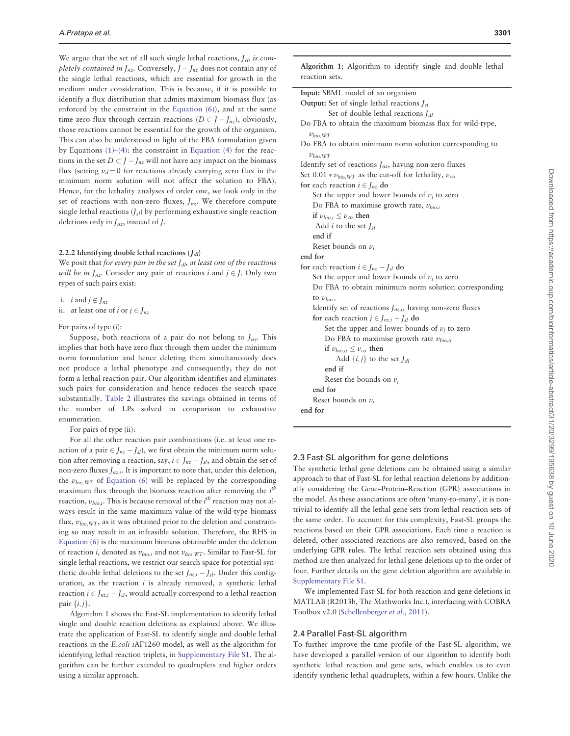We argue that the set of all such single lethal reactions,  $J_{sb}$  is completely contained in  $J_{nz}$ . Conversely,  $J - J_{nz}$  does not contain any of the single lethal reactions, which are essential for growth in the medium under consideration. This is because, if it is possible to identify a flux distribution that admits maximum biomass flux (as enforced by the constraint in the [Equation \(6\)\)](#page-1-0), and at the same time zero flux through certain reactions  $(D \subset J - J_{nz})$ , obviously, those reactions cannot be essential for the growth of the organism. This can also be understood in light of the FBA formulation given by Equations  $(1)$ – $(4)$ : the constraint in Equation  $(4)$  for the reactions in the set  $D \subset J - J_{nz}$  will not have any impact on the biomass flux (setting  $v_d = 0$  for reactions already carrying zero flux in the minimum norm solution will not affect the solution to FBA). Hence, for the lethality analyses of order one, we look only in the set of reactions with non-zero fluxes,  $J_{nz}$ . We therefore compute single lethal reactions  $(J_{sl})$  by performing exhaustive single reaction deletions only in  $J_{nz}$ , instead of J.

#### 2.2.2 Identifying double lethal reactions  $(J_{dl})$

We posit that for every pair in the set  $J_{dl}$ , at least one of the reactions will be in  $J_{nz}$ . Consider any pair of reactions i and  $j \in J$ . Only two types of such pairs exist:

i. *i* and  $j \notin J_{nz}$ 

ii. at least one of i or  $j \in J_{nz}$ 

For pairs of type (i):

Suppose, both reactions of a pair do not belong to  $J_{nz}$ . This implies that both have zero flux through them under the minimum norm formulation and hence deleting them simultaneously does not produce a lethal phenotype and consequently, they do not form a lethal reaction pair. Our algorithm identifies and eliminates such pairs for consideration and hence reduces the search space substantially. [Table 2](#page-3-0) illustrates the savings obtained in terms of the number of LPs solved in comparison to exhaustive enumeration.

For pairs of type (ii):

For all the other reaction pair combinations (i.e. at least one reaction of a pair  $\in J_{nz} - J_{sl}$ ), we first obtain the minimum norm solution after removing a reaction, say,  $i \in J_{nz} - J_{sl}$ , and obtain the set of non-zero fluxes  $J_{nz,i}$ . It is important to note that, under this deletion, the  $v_{bio,WT}$  of [Equation \(6\)](#page-1-0) will be replaced by the corresponding maximum flux through the biomass reaction after removing the  $i<sup>th</sup>$ reaction,  $v_{bio,i}$ . This is because removal of the  $i^{th}$  reaction may not always result in the same maximum value of the wild-type biomass flux,  $v_{bio,WT}$ , as it was obtained prior to the deletion and constraining so may result in an infeasible solution. Therefore, the RHS in [Equation \(6\)](#page-1-0) is the maximum biomass obtainable under the deletion of reaction i, denoted as  $v_{bio.i}$  and not  $v_{bio.WT}$ . Similar to Fast-SL for single lethal reactions, we restrict our search space for potential synthetic double lethal deletions to the set  $J_{nz,i} - J_{sl}$ . Under this configuration, as the reaction  $i$  is already removed, a synthetic lethal reaction  $j \in J_{nz,i} - J_{sl}$ , would actually correspond to a lethal reaction pair  $\{i, j\}$ .

Algorithm 1 shows the Fast-SL implementation to identify lethal single and double reaction deletions as explained above. We illustrate the application of Fast-SL to identify single and double lethal reactions in the E.coli iAF1260 model, as well as the algorithm for identifying lethal reaction triplets, in [Supplementary File S1](http://bioinformatics.oxfordjournals.org/lookup/suppl/doi:10.1093/bioinformatics/btv352/-/DC1). The algorithm can be further extended to quadruplets and higher orders using a similar approach.

Downloaded from https://academic.oup.com/bioinformatics/article-abstract/31/20/3299/195638 by guest on 10 June 2020 Downloaded from https://academic.oup.com/bioinformatics/article-abstract/31/20/3299/195638 by guest on 10 June 2020

Algorithm 1: Algorithm to identify single and double lethal reaction sets.

| Input: SBML model of an organism                               |
|----------------------------------------------------------------|
| <b>Output:</b> Set of single lethal reactions $J_{sl}$         |
| Set of double lethal reactions $J_{dl}$                        |
| Do FBA to obtain the maximum biomass flux for wild-type,       |
| $v_{bio,WT}$                                                   |
| Do FBA to obtain minimum norm solution corresponding to        |
| $v_{bio,WT}$                                                   |
| Identify set of reactions $J_{nz}$ , having non-zero fluxes    |
| Set 0.01 * $v_{bio,WT}$ as the cut-off for lethality, $v_{co}$ |
| for each reaction $i \in I_{nz}$ do                            |
| Set the upper and lower bounds of $v_i$ to zero                |
| Do FBA to maximise growth rate, $v_{bio.i}$                    |
| if $v_{bio.i} \le v_{co}$ then                                 |
| Add <i>i</i> to the set $J_{sl}$                               |
| end if                                                         |
| Reset bounds on $v_i$                                          |
| end for                                                        |
| for each reaction $i \in J_{nz} - J_{sl}$ do                   |
| Set the upper and lower bounds of $v_i$ to zero                |
| Do FBA to obtain minimum norm solution corresponding           |
| to $v_{bio.i}$                                                 |
| Identify set of reactions $J_{nz,i}$ , having non-zero fluxes  |
| for each reaction $j \in J_{nz,i} - J_{sl}$ do                 |
| Set the upper and lower bounds of $v_i$ to zero                |
| Do FBA to maximise growth rate $v_{bio,ii}$                    |
| if $v_{bio,ij} \le v_{co}$ then                                |
| Add $\{i, j\}$ to the set $J_{dl}$                             |
| end if                                                         |
| Reset the bounds on $\nu_i$                                    |
| end for                                                        |
| Reset bounds on $v_i$                                          |
| end for                                                        |
|                                                                |

## 2.3 Fast-SL algorithm for gene deletions

The synthetic lethal gene deletions can be obtained using a similar approach to that of Fast-SL for lethal reaction deletions by additionally considering the Gene–Protein–Reaction (GPR) associations in the model. As these associations are often 'many-to-many', it is nontrivial to identify all the lethal gene sets from lethal reaction sets of the same order. To account for this complexity, Fast-SL groups the reactions based on their GPR associations. Each time a reaction is deleted, other associated reactions are also removed, based on the underlying GPR rules. The lethal reaction sets obtained using this method are then analyzed for lethal gene deletions up to the order of four. Further details on the gene deletion algorithm are available in [Supplementary File S1](http://bioinformatics.oxfordjournals.org/lookup/suppl/doi:10.1093/bioinformatics/btv352/-/DC1).

We implemented Fast-SL for both reaction and gene deletions in MATLAB (R2013b, The Mathworks Inc.), interfacing with COBRA Toolbox v2.0 [\(Schellenberger](#page-6-0) et al., 2011).

## 2.4 Parallel Fast-SL algorithm

To further improve the time profile of the Fast-SL algorithm, we have developed a parallel version of our algorithm to identify both synthetic lethal reaction and gene sets, which enables us to even identify synthetic lethal quadruplets, within a few hours. Unlike the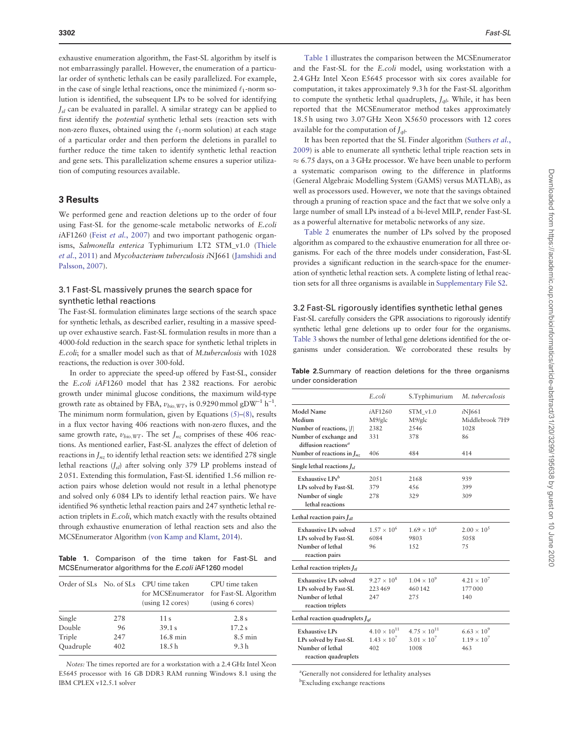<span id="page-3-0"></span>exhaustive enumeration algorithm, the Fast-SL algorithm by itself is not embarrassingly parallel. However, the enumeration of a particular order of synthetic lethals can be easily parallelized. For example, in the case of single lethal reactions, once the minimized  $\ell_1$ -norm solution is identified, the subsequent LPs to be solved for identifying  $J<sub>sl</sub>$  can be evaluated in parallel. A similar strategy can be applied to first identify the potential synthetic lethal sets (reaction sets with non-zero fluxes, obtained using the  $\ell_1$ -norm solution) at each stage of a particular order and then perform the deletions in parallel to further reduce the time taken to identify synthetic lethal reaction and gene sets. This parallelization scheme ensures a superior utilization of computing resources available.

#### 3 Results

We performed gene and reaction deletions up to the order of four using Fast-SL for the genome-scale metabolic networks of E.coli iAF1260 (Feist et al.[, 2007\)](#page-5-0) and two important pathogenic organisms, Salmonella enterica Typhimurium LT2 STM\_v1.0 ([Thiele](#page-6-0) et al.[, 2011](#page-6-0)) and Mycobacterium tuberculosis iNJ661 ([Jamshidi and](#page-6-0) [Palsson, 2007\)](#page-6-0).

#### 3.1 Fast-SL massively prunes the search space for synthetic lethal reactions

The Fast-SL formulation eliminates large sections of the search space for synthetic lethals, as described earlier, resulting in a massive speedup over exhaustive search. Fast-SL formulation results in more than a 4000-fold reduction in the search space for synthetic lethal triplets in E.coli; for a smaller model such as that of M.tuberculosis with 1028 reactions, the reduction is over 300-fold.

In order to appreciate the speed-up offered by Fast-SL, consider the E.coli iAF1260 model that has 2 382 reactions. For aerobic growth under minimal glucose conditions, the maximum wild-type growth rate as obtained by FBA,  $v_{bio,WT}$ , is 0.9290 mmol gDW<sup>-1</sup> h<sup>-1</sup>. The minimum norm formulation, given by Equations  $(5)$ – $(8)$ , results in a flux vector having 406 reactions with non-zero fluxes, and the same growth rate,  $v_{bio,WT}$ . The set  $J_{nz}$  comprises of these 406 reactions. As mentioned earlier, Fast-SL analyzes the effect of deletion of reactions in  $J_{nz}$  to identify lethal reaction sets: we identified 278 single lethal reactions  $(J_{sl})$  after solving only 379 LP problems instead of 2 051. Extending this formulation, Fast-SL identified 1.56 million reaction pairs whose deletion would not result in a lethal phenotype and solved only 6 084 LPs to identify lethal reaction pairs. We have identified 96 synthetic lethal reaction pairs and 247 synthetic lethal reaction triplets in E.coli, which match exactly with the results obtained through exhaustive enumeration of lethal reaction sets and also the MCSEnumerator Algorithm [\(von Kamp and Klamt, 2014\)](#page-6-0).

Table 1. Comparison of the time taken for Fast-SL and MCSEnumerator algorithms for the E.coli iAF1260 model

|           |     | Order of SLs No. of SLs CPU time taken<br>for MCSEnumerator<br>$\left(\text{using } 12 \text{ cores}\right)$ | CPU time taken<br>for Fast-SL Algorithm<br>(using 6 cores) |  |
|-----------|-----|--------------------------------------------------------------------------------------------------------------|------------------------------------------------------------|--|
| Single    | 278 | 11 <sub>s</sub>                                                                                              | 2.8s                                                       |  |
| Double    | 96  | 39.1 s                                                                                                       | 17.2 s                                                     |  |
| Triple    | 247 | $16.8 \text{ min}$                                                                                           | $8.5 \text{ min}$                                          |  |
| Quadruple | 402 | 18.5 <sub>h</sub>                                                                                            | 9.3 <sub>h</sub>                                           |  |

Notes: The times reported are for a workstation with a 2.4 GHz Intel Xeon E5645 processor with 16 GB DDR3 RAM running Windows 8.1 using the IBM CPLEX v12.5.1 solver

Table 1 illustrates the comparison between the MCSEnumerator and the Fast-SL for the E.coli model, using workstation with a 2.4 GHz Intel Xeon E5645 processor with six cores available for computation, it takes approximately 9.3 h for the Fast-SL algorithm to compute the synthetic lethal quadruplets,  $J_{al}$ . While, it has been reported that the MCSEnumerator method takes approximately 18.5 h using two 3.07 GHz Xeon X5650 processors with 12 cores available for the computation of  $I_{ab}$ .

It has been reported that the SL Finder algorithm [\(Suthers](#page-6-0) et al., [2009\)](#page-6-0) is able to enumerate all synthetic lethal triple reaction sets in  $\approx$  6.75 days, on a 3 GHz processor. We have been unable to perform a systematic comparison owing to the difference in platforms (General Algebraic Modelling System (GAMS) versus MATLAB), as well as processors used. However, we note that the savings obtained through a pruning of reaction space and the fact that we solve only a large number of small LPs instead of a bi-level MILP, render Fast-SL as a powerful alternative for metabolic networks of any size.

Table 2 enumerates the number of LPs solved by the proposed algorithm as compared to the exhaustive enumeration for all three organisms. For each of the three models under consideration, Fast-SL provides a significant reduction in the search-space for the enumeration of synthetic lethal reaction sets. A complete listing of lethal reaction sets for all three organisms is available in [Supplementary File S2](http://bioinformatics.oxfordjournals.org/lookup/suppl/doi:10.1093/bioinformatics/btv352/-/DC1).

#### 3.2 Fast-SL rigorously identifies synthetic lethal genes

Fast-SL carefully considers the GPR associations to rigorously identify synthetic lethal gene deletions up to order four for the organisms. [Table 3](#page-4-0) shows the number of lethal gene deletions identified for the organisms under consideration. We corroborated these results by

| <b>Table 2.</b> Summary of reaction deletions for the three organisms |  |  |  |  |
|-----------------------------------------------------------------------|--|--|--|--|
| under consideration                                                   |  |  |  |  |

|                                                            | E.coli                       | S.Typhimurium                  | M. tuberculosis                |
|------------------------------------------------------------|------------------------------|--------------------------------|--------------------------------|
| Model Name                                                 | <i>i</i> AF1260              | $STM$ v1.0                     | <i>i</i> NJ661                 |
| Medium                                                     | M9/glc                       | M9/glc                         | Middlebrook 7H9                |
| Number of reactions,  /                                    | 2382                         | 2.546                          | 1028                           |
| Number of exchange and<br>diffusion reactions <sup>a</sup> | 331                          | 378                            | 86                             |
| Number of reactions in $J_{nz}$                            | 406                          | 484                            | 414                            |
| Single lethal reactions $J_{sl}$                           |                              |                                |                                |
| Exhaustive LPs <sup>b</sup>                                | 20.51                        | 2168                           | 939                            |
| LPs solved by Fast-SL                                      | 379                          | 456                            | 399                            |
| Number of single<br>lethal reactions                       | 278                          | 329                            | 309                            |
| Lethal reaction pairs $J_{dl}$                             |                              |                                |                                |
| <b>Exhaustive LPs solved</b>                               | $1.57 \times 10^{6}$         | $1.69 \times 10^{6}$           | $2.00 \times 10^{5}$           |
| LPs solved by Fast-SL                                      | 6084                         | 9803                           | 50.58                          |
| Number of lethal<br>reaction pairs                         | 96                           | 1.52                           | 75                             |
| Lethal reaction triplets $J_{tl}$                          |                              |                                |                                |
| <b>Exhaustive LPs solved</b><br>LPs solved by Fast-SL      | $9.27 \times 10^8$<br>223469 | $1.04 \times 10^{9}$<br>460142 | $4.21 \times 10^{7}$<br>177000 |
| Number of lethal<br>reaction triplets                      | 247                          | 275                            | 140                            |
| Lethal reaction quadruplets $J_{ql}$                       |                              |                                |                                |
| <b>Exhaustive LPs</b>                                      | $4.10 \times 10^{11}$        | $4.75 \times 10^{11}$          | $6.63 \times 10^{9}$           |
| LPs solved by Fast-SL                                      | $1.43 \times 10^{7}$         | $3.01 \times 10^{7}$           | $1.19 \times 10^{7}$           |
| Number of lethal<br>reaction quadruplets                   | 402                          | 1008                           | 463                            |

a Generally not considered for lethality analyses b Excluding exchange reactions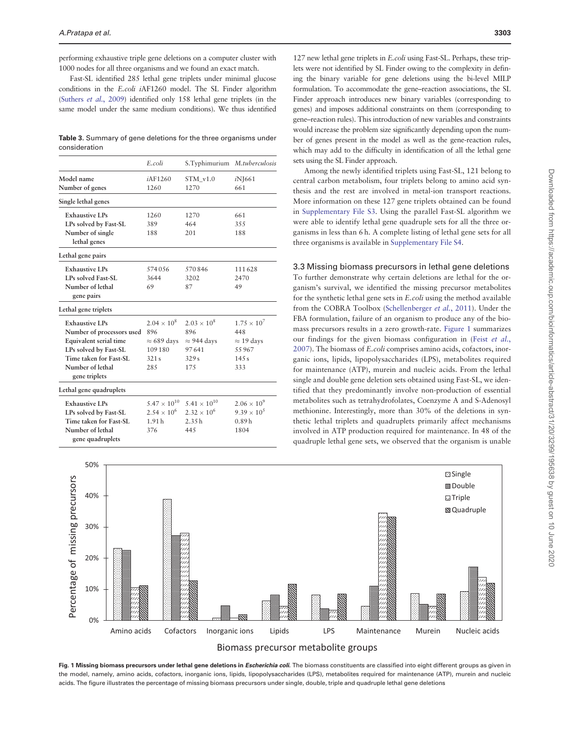<span id="page-4-0"></span>performing exhaustive triple gene deletions on a computer cluster with 1000 nodes for all three organisms and we found an exact match.

Fast-SL identified 285 lethal gene triplets under minimal glucose conditions in the E.coli iAF1260 model. The SL Finder algorithm ([Suthers](#page-6-0) et al., 2009) identified only 158 lethal gene triplets (in the same model under the same medium conditions). We thus identified

Table 3. Summary of gene deletions for the three organisms under consideration

|                                  | E.coli                | S.Typhimurium M.tuberculosis |                      |
|----------------------------------|-----------------------|------------------------------|----------------------|
| Model name                       | <i>i</i> AF1260       | $STM$ v1.0                   | iN <sub>1661</sub>   |
| Number of genes                  | 1260                  | 1270                         | 661                  |
| Single lethal genes              |                       |                              |                      |
| <b>Exhaustive LPs</b>            | 1260                  | 1270                         | 661                  |
| LPs solved by Fast-SL            | 389                   | 464                          | 3.5.5                |
| Number of single<br>lethal genes | 188                   | 201                          | 188                  |
| Lethal gene pairs                |                       |                              |                      |
| <b>Exhaustive LPs</b>            | 574056                | 570846                       | 111628               |
| LPs solved Fast-SL               | 3644                  | 3202                         | 2470                 |
| Number of lethal                 | 69                    | 87                           | 49                   |
| gene pairs                       |                       |                              |                      |
| Lethal gene triplets             |                       |                              |                      |
| <b>Exhaustive LPs</b>            | $2.04 \times 10^8$    | $2.03 \times 10^8$           | $1.75 \times 10^{7}$ |
| Number of processors used        | 896                   | 896                          | 448                  |
| Equivalent serial time           | $\approx 689$ days    | $\approx$ 944 days           | $\approx$ 19 days    |
| LPs solved by Fast-SL            | 109180                | 97641                        | 55967                |
| Time taken for Fast-SL           | 321s                  | 329s                         | 14.5 s               |
| Number of lethal                 | 28.5                  | 175                          | 333                  |
| gene triplets                    |                       |                              |                      |
| Lethal gene quadruplets          |                       |                              |                      |
| <b>Exhaustive LPs</b>            | $5.47 \times 10^{10}$ | $5.41 \times 10^{10}$        | $2.06 \times 10^{9}$ |
| LPs solved by Fast-SL            | $2.54 \times 10^6$    | $2.32 \times 10^6$           | $9.39 \times 10^{3}$ |
| Time taken for Fast-SL           | 1.91h                 | 2.35h                        | 0.89h                |
| Number of lethal                 | 376                   | 44.5                         | 1804                 |
| gene quadruplets                 |                       |                              |                      |

127 new lethal gene triplets in E.coli using Fast-SL. Perhaps, these triplets were not identified by SL Finder owing to the complexity in defining the binary variable for gene deletions using the bi-level MILP formulation. To accommodate the gene–reaction associations, the SL Finder approach introduces new binary variables (corresponding to genes) and imposes additional constraints on them (corresponding to gene–reaction rules). This introduction of new variables and constraints would increase the problem size significantly depending upon the number of genes present in the model as well as the gene-reaction rules, which may add to the difficulty in identification of all the lethal gene sets using the SL Finder approach.

Among the newly identified triplets using Fast-SL, 121 belong to central carbon metabolism, four triplets belong to amino acid synthesis and the rest are involved in metal-ion transport reactions. More information on these 127 gene triplets obtained can be found in [Supplementary File S3](http://bioinformatics.oxfordjournals.org/lookup/suppl/doi:10.1093/bioinformatics/btv352/-/DC1). Using the parallel Fast-SL algorithm we were able to identify lethal gene quadruple sets for all the three organisms in less than 6 h. A complete listing of lethal gene sets for all three organisms is available in [Supplementary File S4](http://bioinformatics.oxfordjournals.org/lookup/suppl/doi:10.1093/bioinformatics/btv352/-/DC1).

#### 3.3 Missing biomass precursors in lethal gene deletions

To further demonstrate why certain deletions are lethal for the organism's survival, we identified the missing precursor metabolites for the synthetic lethal gene sets in E.coli using the method available from the COBRA Toolbox [\(Schellenberger](#page-6-0) et al., 2011). Under the FBA formulation, failure of an organism to produce any of the biomass precursors results in a zero growth-rate. Figure 1 summarizes our findings for the given biomass configuration in (Feist [et al.](#page-5-0), [2007\)](#page-5-0). The biomass of E.coli comprises amino acids, cofactors, inorganic ions, lipids, lipopolysaccharides (LPS), metabolites required for maintenance (ATP), murein and nucleic acids. From the lethal single and double gene deletion sets obtained using Fast-SL, we identified that they predominantly involve non-production of essential metabolites such as tetrahydrofolates, Coenzyme A and S-Adenosyl methionine. Interestingly, more than 30% of the deletions in synthetic lethal triplets and quadruplets primarily affect mechanisms involved in ATP production required for maintenance. In 48 of the quadruple lethal gene sets, we observed that the organism is unable



Fig. 1 Missing biomass precursors under lethal gene deletions in *Escherichia coli*. The biomass constituents are classified into eight different groups as given in the model, namely, amino acids, cofactors, inorganic ions, lipids, lipopolysaccharides (LPS), metabolites required for maintenance (ATP), murein and nucleic acids. The figure illustrates the percentage of missing biomass precursors under single, double, triple and quadruple lethal gene deletions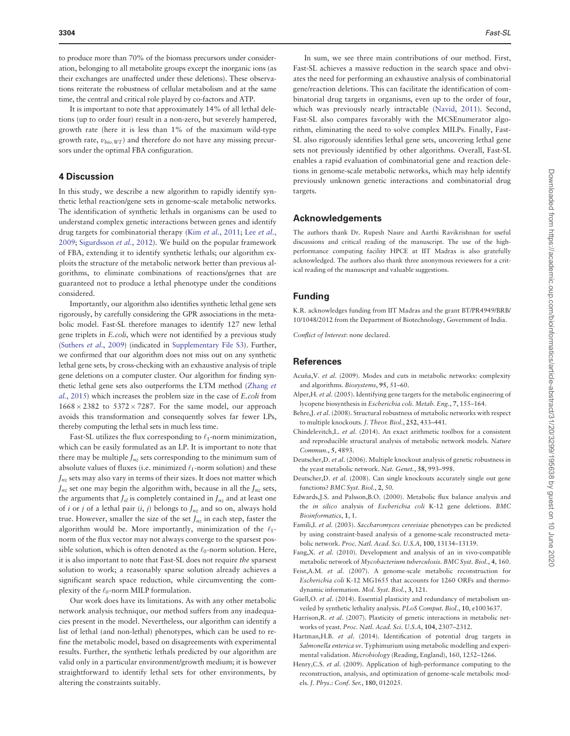<span id="page-5-0"></span>to produce more than 70% of the biomass precursors under consideration, belonging to all metabolite groups except the inorganic ions (as their exchanges are unaffected under these deletions). These observations reiterate the robustness of cellular metabolism and at the same time, the central and critical role played by co-factors and ATP.

It is important to note that approximately 14% of all lethal deletions (up to order four) result in a non-zero, but severely hampered, growth rate (here it is less than 1% of the maximum wild-type growth rate,  $v_{bio,WT}$ ) and therefore do not have any missing precursors under the optimal FBA configuration.

#### 4 Discussion

In this study, we describe a new algorithm to rapidly identify synthetic lethal reaction/gene sets in genome-scale metabolic networks. The identification of synthetic lethals in organisms can be used to understand complex genetic interactions between genes and identify drug targets for combinatorial therapy (Kim et al.[, 2011](#page-6-0); Lee [et al.](#page-6-0), [2009;](#page-6-0) [Sigurdsson](#page-6-0) et al., 2012). We build on the popular framework of FBA, extending it to identify synthetic lethals; our algorithm exploits the structure of the metabolic network better than previous algorithms, to eliminate combinations of reactions/genes that are guaranteed not to produce a lethal phenotype under the conditions considered.

Importantly, our algorithm also identifies synthetic lethal gene sets rigorously, by carefully considering the GPR associations in the metabolic model. Fast-SL therefore manages to identify 127 new lethal gene triplets in E.coli, which were not identified by a previous study ([Suthers](#page-6-0) et al., 2009) (indicated in [Supplementary File S3](http://bioinformatics.oxfordjournals.org/lookup/suppl/doi:10.1093/bioinformatics/btv352/-/DC1)). Further, we confirmed that our algorithm does not miss out on any synthetic lethal gene sets, by cross-checking with an exhaustive analysis of triple gene deletions on a computer cluster. Our algorithm for finding synthetic lethal gene sets also outperforms the LTM method [\(Zhang](#page-6-0) et al.[, 2015](#page-6-0)) which increases the problem size in the case of E.coli from  $1668 \times 2382$  to  $5372 \times 7287$ . For the same model, our approach avoids this transformation and consequently solves far fewer LPs, thereby computing the lethal sets in much less time.

Fast-SL utilizes the flux corresponding to  $\ell_1$ -norm minimization, which can be easily formulated as an LP. It is important to note that there may be multiple  $J_{nz}$  sets corresponding to the minimum sum of absolute values of fluxes (i.e. minimized  $\ell_1$ -norm solution) and these  $J_{nz}$  sets may also vary in terms of their sizes. It does not matter which  $J_{nz}$  set one may begin the algorithm with, because in all the  $J_{nz}$  sets, the arguments that  $J_{sl}$  is completely contained in  $J_{nz}$  and at least one of *i* or *j* of a lethal pair  $(i, j)$  belongs to  $J_{nz}$  and so on, always hold true. However, smaller the size of the set  $J_{nz}$  in each step, faster the algorithm would be. More importantly, minimization of the  $\ell_1$ norm of the flux vector may not always converge to the sparsest possible solution, which is often denoted as the  $\ell_0$ -norm solution. Here, it is also important to note that Fast-SL does not require the sparsest solution to work; a reasonably sparse solution already achieves a significant search space reduction, while circumventing the complexity of the  $\ell_0$ -norm MILP formulation.

Our work does have its limitations. As with any other metabolic network analysis technique, our method suffers from any inadequacies present in the model. Nevertheless, our algorithm can identify a list of lethal (and non-lethal) phenotypes, which can be used to refine the metabolic model, based on disagreements with experimental results. Further, the synthetic lethals predicted by our algorithm are valid only in a particular environment/growth medium; it is however straightforward to identify lethal sets for other environments, by altering the constraints suitably.

In sum, we see three main contributions of our method. First, Fast-SL achieves a massive reduction in the search space and obviates the need for performing an exhaustive analysis of combinatorial gene/reaction deletions. This can facilitate the identification of combinatorial drug targets in organisms, even up to the order of four, which was previously nearly intractable ([Navid, 2011](#page-6-0)). Second, Fast-SL also compares favorably with the MCSEnumerator algorithm, eliminating the need to solve complex MILPs. Finally, Fast-SL also rigorously identifies lethal gene sets, uncovering lethal gene sets not previously identified by other algorithms. Overall, Fast-SL enables a rapid evaluation of combinatorial gene and reaction deletions in genome-scale metabolic networks, which may help identify previously unknown genetic interactions and combinatorial drug targets.

#### Acknowledgements

The authors thank Dr. Rupesh Nasre and Aarthi Ravikrishnan for useful discussions and critical reading of the manuscript. The use of the highperformance computing facility HPCE at IIT Madras is also gratefully acknowledged. The authors also thank three anonymous reviewers for a critical reading of the manuscript and valuable suggestions.

#### Funding

K.R. acknowledges funding from IIT Madras and the grant BT/PR4949/BRB/ 10/1048/2012 from the Department of Biotechnology, Government of India.

Conflict of Interest: none declared.

#### References

- Acuña, V. et al. (2009). Modes and cuts in metabolic networks: complexity and algorithms. Biosystems, 95, 51–60.
- Alper,H. et al. (2005). Identifying gene targets for the metabolic engineering of lycopene biosynthesis in Escherichia coli. Metab. Eng., 7, 155–164.
- Behre, J. et al. (2008). Structural robustness of metabolic networks with respect to multiple knockouts. J. Theor. Biol., 252, 433–441.
- Chindelevitch,L. et al. (2014). An exact arithmetic toolbox for a consistent and reproducible structural analysis of metabolic network models. Nature Commun., 5, 4893.
- Deutscher,D. et al. (2006). Multiple knockout analysis of genetic robustness in the yeast metabolic network. Nat. Genet., 38, 993–998.
- Deutscher,D. et al. (2008). Can single knockouts accurately single out gene functions? BMC Syst. Biol., 2, 50.
- Edwards,J.S. and Palsson,B.O. (2000). Metabolic flux balance analysis and the in silico analysis of Escherichia coli K-12 gene deletions. BMC Bioinformatics, 1, 1.
- Famili,I. et al. (2003). Saccharomyces cerevisiae phenotypes can be predicted by using constraint-based analysis of a genome-scale reconstructed metabolic network. Proc. Natl. Acad. Sci. U.S.A, 100, 13134–13139.
- Fang,X. et al. (2010). Development and analysis of an in vivo-compatible metabolic network of Mycobacterium tuberculosis. BMC Syst. Biol., 4, 160.
- Feist,A.M. et al. (2007). A genome-scale metabolic reconstruction for Escherichia coli K-12 MG1655 that accounts for 1260 ORFs and thermodynamic information. Mol. Syst. Biol., 3, 121.
- Güell, O. et al. (2014). Essential plasticity and redundancy of metabolism unveiled by synthetic lethality analysis. PLoS Comput. Biol., 10, e1003637.
- Harrison, R. et al. (2007). Plasticity of genetic interactions in metabolic networks of yeast. Proc. Natl. Acad. Sci. U.S.A, 104, 2307–2312.
- Hartman,H.B. et al. (2014). Identification of potential drug targets in Salmonella enterica sv. Typhimurium using metabolic modelling and experimental validation. Microbiology (Reading, England), 160, 1252–1266.
- Henry,C.S. et al. (2009). Application of high-performance computing to the reconstruction, analysis, and optimization of genome-scale metabolic models. J. Phys.: Conf. Ser., 180, 012025.